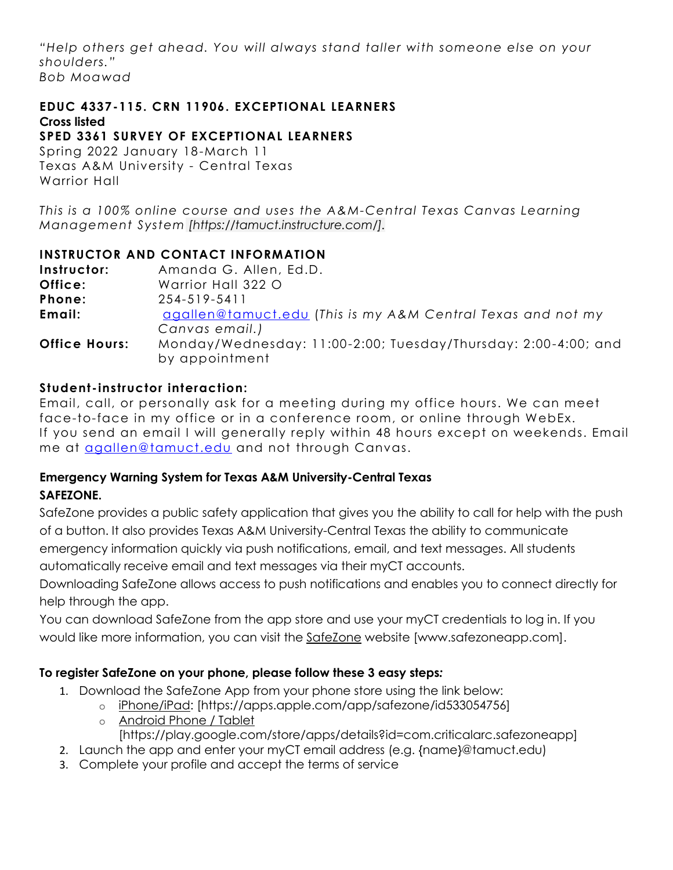*"Help others get ahead. You will always stand taller with someone else on your shoulders." Bob Moawad*

#### **EDUC 4337-115. CRN 11906. EXCEPTIONAL LEARNERS Cross listed**

# **SPED 3361 SURVEY OF EXCEPTIONAL LEARNERS**

Spring 2022 January 18-March 11 Texas A&M University - Central Texas Warrior Hall

*This is a 100% online course and uses the A&M-Central Texas Canvas Learning Management System [https://tamuct.instructure.com/].*

#### **INSTRUCTOR AND CONTACT INFORMATION**

**Instructor:** Amanda G. Allen, Ed.D. **Office:** Warrior Hall 322 O **Phone:** 254-519-5411 **Email:** [agallen@tamuct.edu](mailto:agallen@tamuct.edu) (*This is my A&M Central Texas and not my Canvas email.)* **Office Hours:** Monday/Wednesday: 11:00-2:00; Tuesday/Thursday: 2:00-4:00; and by appointment

### **Student -instructor interaction:**

Email, call, or personally ask for a meeting during my office hours. We can meet face-to-face in my office or in a conference room, or online through WebEx. If you send an email I will generally reply within 48 hours except on weekends. Email me at [agallen@tamuct.edu](mailto:agallen@tamuct.edu) and not through Canvas.

#### **Emergency Warning System for Texas A&M University-Central Texas SAFEZONE.**

SafeZone provides a public safety application that gives you the ability to call for help with the push of a button. It also provides Texas A&M University-Central Texas the ability to communicate emergency information quickly via push notifications, email, and text messages. All students automatically receive email and text messages via their myCT accounts.

Downloading SafeZone allows access to push notifications and enables you to connect directly for help through the app.

You can download SafeZone from the app store and use your myCT credentials to log in. If you would like more information, you can visit the [SafeZone](http://www.safezoneapp.com/) website [www.safezoneapp.com].

#### **To register SafeZone on your phone, please follow these 3 easy steps***:*

- 1. Download the SafeZone App from your phone store using the link below:
	- o [iPhone/iPad:](https://apps.apple.com/app/safezone/id533054756) [https://apps.apple.com/app/safezone/id533054756]
	- o [Android Phone / Tablet](https://play.google.com/store/apps/details?id=com.criticalarc.safezoneapp)
	- [https://play.google.com/store/apps/details?id=com.criticalarc.safezoneapp]
- 2. Launch the app and enter your myCT email address (e.g. {name}@tamuct.edu)
- 3. Complete your profile and accept the terms of service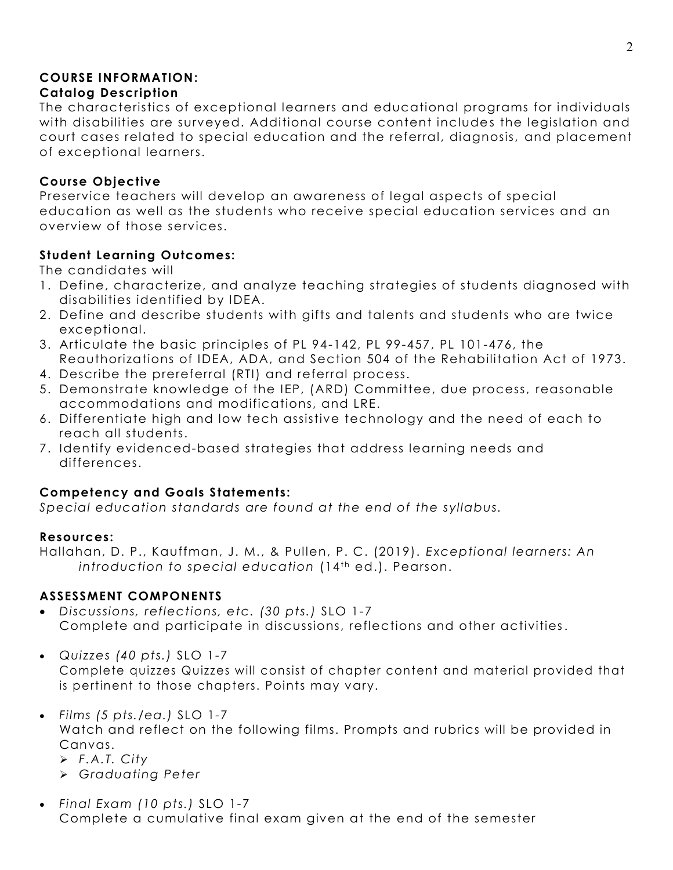#### **COURSE INFORMATION: Catalog Description**

The characteristics of exceptional learners and educational programs for individuals with disabilities are surveyed. Additional course content includes the legislation and court cases related to special education and the referral, diagnosis, and placement of exceptional learners.

#### **Course Objective**

Preservice teachers will develop an awareness of legal aspects of special education as well as the students who receive special education services and an overview of those services.

### **Student Learning Outcomes:**

The candidates will

- 1. Define, characterize, and analyze teaching strategies of students diagnosed with disabilities identified by IDEA.
- 2. Define and describe students with gifts and talents and students who are twice exceptional.
- 3. Articulate the basic principles of PL 94-142, PL 99-457, PL 101-476, the Reauthorizations of IDEA, ADA, and Section 504 of the Rehabilitation Act of 1973.
- 4. Describe the prereferral (RTI) and referral process.
- 5. Demonstrate knowledge of the IEP, (ARD) Committee, due process, reasonable accommodations and modifications, and LRE.
- 6. Differentiate high and low tech assistive technology and the need of each to reach all students.
- 7. Identify evidenced-based strategies that address learning needs and differences.

# **Competency and Goals Statements:**

*Special education standards are found at the end of the syllabus.*

# **Resources:**

Hallahan, D. P., Kauffman, J. M., & Pullen, P. C. (2019). *Exceptional learners: An*  introduction to special education (14<sup>th</sup> ed.). Pearson.

# **ASSESSMENT COMPONENTS**

 *Discussions, reflections, etc. (30 pts.)* SLO 1-7 Complete and participate in discussions, reflections and other activities.

*Quizzes (40 pts.)* SLO 1-7

Complete quizzes Quizzes will consist of chapter content and material provided that is pertinent to those chapters. Points may vary.

- *Films (5 pts./ea.)* SLO 1-7 Watch and reflect on the following films. Prompts and rubrics will be provided in Canvas.
	- *F.A.T. City*
	- *Graduating Peter*
- *Final Exam (10 pts.)* SLO 1-7 Complete a cumulative final exam given at the end of the semester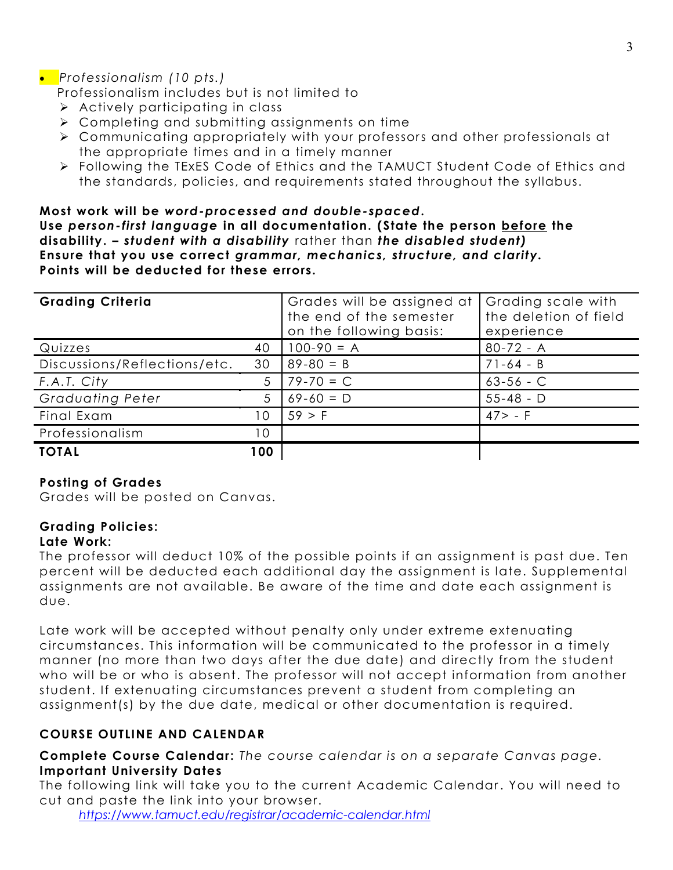# *Professionalism (10 pts.)*

Professionalism includes but is not limited to

- $\triangleright$  Actively participating in class
- $\triangleright$  Completing and submitting assignments on time
- Communicating appropriately with your professors and other professionals at the appropriate times and in a timely manner
- Following the TExES Code of Ethics and the TAMUCT Student Code of Ethics and the standards, policies, and requirements stated throughout the syllabus.

#### **Most work will be** *word-processed and double-spaced***. Use** *person-first language* **in all documentation. (State the person before the disability. –** *student with a disability* rather than *the disabled student)* **Ensure that you use correct** *grammar, mechanics, structure, and clarity.* **Points will be deducted for these errors.**

| <b>Grading Criteria</b>      |     | Grades will be assigned at<br>the end of the semester<br>on the following basis: | Grading scale with<br>the deletion of field<br>experience |
|------------------------------|-----|----------------------------------------------------------------------------------|-----------------------------------------------------------|
| Quizzes                      | 40  | $100-90 = A$                                                                     | $80 - 72 - A$                                             |
| Discussions/Reflections/etc. | 30  | $89 - 80 = B$                                                                    | $71-64 - B$                                               |
| F.A.T. City                  |     | $79 - 70 = C$                                                                    | $63 - 56 - C$                                             |
| <b>Graduating Peter</b>      | 5   | $69-60 = D$                                                                      | $55 - 48 - D$                                             |
| Final Exam                   | 10  | 59 > F                                                                           | $47 > - F$                                                |
| Professionalism              | 10  |                                                                                  |                                                           |
| <b>TOTAL</b>                 | 100 |                                                                                  |                                                           |

#### **Posting of Grades**

Grades will be posted on Canvas.

# **Grading Policies:**

#### **Late Work:**

The professor will deduct 10% of the possible points if an assignment is past due. Ten percent will be deducted each additional day the assignment is late. Supplemental assignments are not available. Be aware of the time and date each assignment is due.

Late work will be accepted without penalty only under extreme extenuating circumstances. This information will be communicated to the professor in a timely manner (no more than two days after the due date) and directly from the student who will be or who is absent. The professor will not accept information from another student. If extenuating circumstances prevent a student from completing an assignment(s) by the due date, medical or other documentation is required.

# **COURSE OUTLINE AND CALENDAR**

**Complete Course Calendar:** *The course calendar is on a separate Canvas page.* **Important University Dates**

The following link will take you to the current Academic Calendar . You will need to cut and paste the link into your browser.

*<https://www.tamuct.edu/registrar/academic-calendar.html>*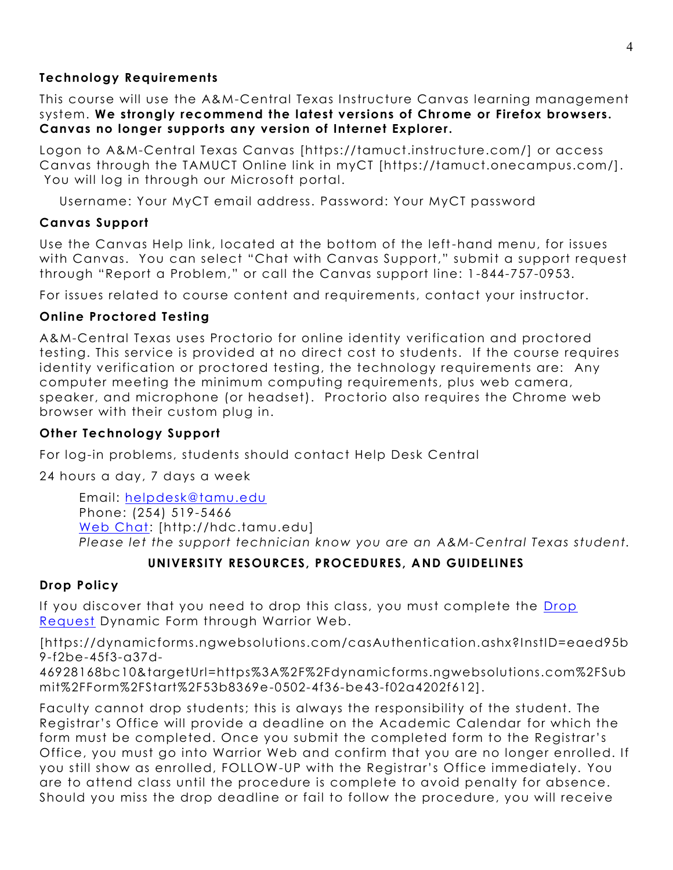#### **Technology Requirements**

This course will use the A&M-Central Texas Instructure Canvas learning management system. **We strongly recommend the latest versions of Chrome or Firefox browsers. Canvas no longer supports any version of Internet Explorer.**

Logon to A&M-Central Texas Canvas [https://tamuct.instructure.com/] or access Canvas through the TAMUCT Online link in myCT [https://tamuct.onecampus.com/]. You will log in through our Microsoft portal.

Username: Your MyCT email address. Password: Your MyCT password

### **Canvas Support**

Use the Canvas Help link, located at the bottom of the left-hand menu, for issues with Canvas. You can select "Chat with Canvas Support," submit a support request through "Report a Problem," or call the Canvas support line: 1 -844-757-0953.

For issues related to course content and requirements, contact your instructor.

# **Online Proctored Testing**

A&M-Central Texas uses Proctorio for online identity verification and proctored testing. This service is provided at no direct cost to students. If the course requires identity verification or proctored testing, the technology requirements are: Any computer meeting the minimum computing requirements, plus web camera, speaker, and microphone (or headset). Proctorio also requires the Chrome web browser with their custom plug in.

### **Other Technology Support**

For log-in problems, students should contact Help Desk Central

24 hours a day, 7 days a week

Email: [helpdesk@tamu.edu](mailto:helpdesk@tamu.edu) Phone: (254) 519-5466 [Web Chat:](http://hdc.tamu.edu/) [http://hdc.tamu.edu] *Please let the support technician know you are an A&M-Central Texas student.*

# **UNIVERSITY RESOURCES, PROCEDURES, AND GUIDELINES**

# **Drop Policy**

If you discover that you need to drop this class, you must complete the [Drop](https://dynamicforms.ngwebsolutions.com/casAuthentication.ashx?InstID=eaed95b9-f2be-45f3-a37d-46928168bc10&targetUrl=https%3A%2F%2Fdynamicforms.ngwebsolutions.com%2FSubmit%2FForm%2FStart%2F53b8369e-0502-4f36-be43-f02a4202f612)  [Request](https://dynamicforms.ngwebsolutions.com/casAuthentication.ashx?InstID=eaed95b9-f2be-45f3-a37d-46928168bc10&targetUrl=https%3A%2F%2Fdynamicforms.ngwebsolutions.com%2FSubmit%2FForm%2FStart%2F53b8369e-0502-4f36-be43-f02a4202f612) Dynamic Form through Warrior Web.

[https://dynamicforms.ngwebsolutions.com/casAuthentication.ashx?InstID=eaed95b 9-f2be-45f3-a37d-

46928168bc10&targetUrl=https%3A%2F%2Fdynamicforms.ngwebsolutions.com%2FSub mit%2FForm%2FStart%2F53b8369e-0502-4f36-be43-f02a4202f612].

Faculty cannot drop students; this is always the responsibility of the student. The Registrar's Office will provide a deadline on the Academic Calendar for which the form must be completed. Once you submit the completed form to the Registrar's Office, you must go into Warrior Web and confirm that you are no longer enrolled. If you still show as enrolled, FOLLOW-UP with the Registrar's Office immediately. You are to attend class until the procedure is complete to avoid penalty for absence. Should you miss the drop deadline or fail to follow the procedure, you will receive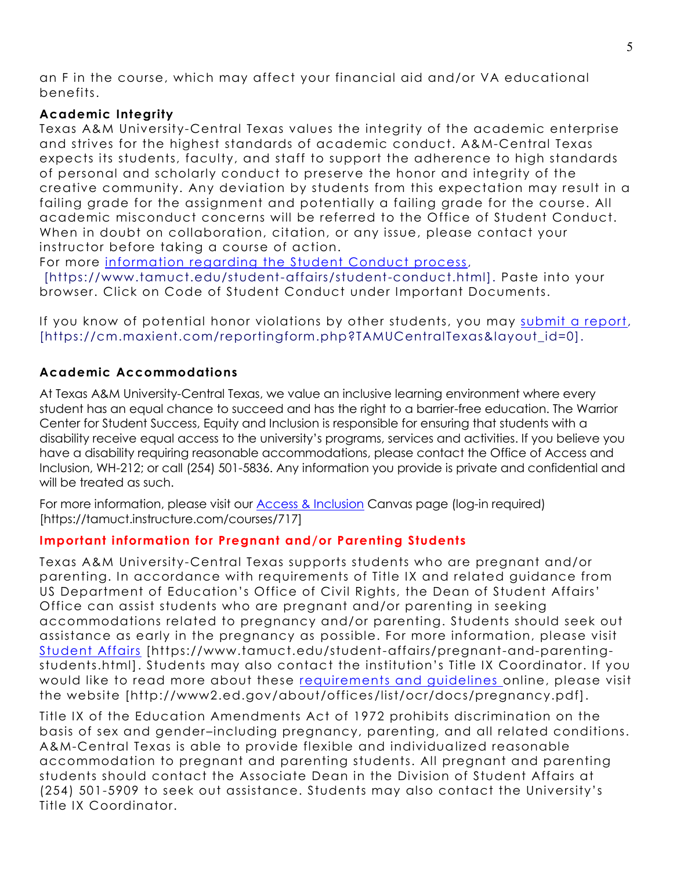an F in the course, which may affect your financial aid and/or VA educational benefits.

### **Academic Integrity**

Texas A&M University-Central Texas values the integrity of the academic enterprise and strives for the highest standards of academic conduct. A&M-Central Texas expects its students, faculty, and staff to support the adherence to high standards of personal and scholarly conduct to preserve the honor and integrity of the creative community. Any deviation by students from this expectation may result in a failing grade for the assignment and potentially a failing grade for the course. All academic misconduct concerns will be referred to the Office of Student Conduct. When in doubt on collaboration, citation, or any issue, please contact your instructor before taking a course of action.

For more [information](https://nam04.safelinks.protection.outlook.com/?url=https%3A%2F%2Fwww.tamuct.edu%2Fstudent-affairs%2Fstudent-conduct.html&data=04%7C01%7Clisa.bunkowski%40tamuct.edu%7Ccfb6e486f24745f53e1a08d910055cb2%7C9eed4e3000f744849ff193ad8005acec%7C0%7C0%7C637558437485252160%7CUnknown%7CTWFpbGZsb3d8eyJWIjoiMC4wLjAwMDAiLCJQIjoiV2luMzIiLCJBTiI6Ik1haWwiLCJXVCI6Mn0%3D%7C1000&sdata=yjftDEVHvLX%2FhM%2FcFU0B99krV1RgEWR%2BJ%2BhvtoR6TYk%3D&reserved=0) regarding the Student Conduct process,

[https://www.tamuct.edu/student-affairs/student-conduct.html]. Paste into your browser. Click on Code of Student Conduct under Important Documents.

If you know of potential honor violations by other students, you may submit a [report,](https://nam04.safelinks.protection.outlook.com/?url=https%3A%2F%2Fcm.maxient.com%2Freportingform.php%3FTAMUCentralTexas%26layout_id%3D0&data=04%7C01%7Clisa.bunkowski%40tamuct.edu%7Ccfb6e486f24745f53e1a08d910055cb2%7C9eed4e3000f744849ff193ad8005acec%7C0%7C0%7C637558437485262157%7CUnknown%7CTWFpbGZsb3d8eyJWIjoiMC4wLjAwMDAiLCJQIjoiV2luMzIiLCJBTiI6Ik1haWwiLCJXVCI6Mn0%3D%7C1000&sdata=CXGkOa6uPDPX1IMZ87z3aZDq2n91xfHKu4MMS43Ejjk%3D&reserved=0) [https://cm.maxient.com/reportingform.php?TAMUCentralTexas&layout\_id=0].

# **Academic Accommodations**

At Texas A&M University-Central Texas, we value an inclusive learning environment where every student has an equal chance to succeed and has the right to a barrier-free education. The Warrior Center for Student Success, Equity and Inclusion is responsible for ensuring that students with a disability receive equal access to the university's programs, services and activities. If you believe you have a disability requiring reasonable accommodations, please contact the Office of Access and Inclusion, WH-212; or call (254) 501-5836. Any information you provide is private and confidential and will be treated as such.

For more information, please visit our [Access & Inclusion](https://tamuct.instructure.com/courses/717) Canvas page (log-in required) [https://tamuct.instructure.com/courses/717]

# **Important information for Pregnant and/or Parenting Students**

Texas A&M University-Central Texas supports students who are pregnant and/or parenting. In accordance with requirements of Title IX and related guidance from US Department of Education's Office of Civil Rights, the Dean of Student Affairs' Office can assist students who are pregnant and/or parenting in seeking accommodations related to pregnancy and/or parenting. Students should seek out assistance as early in the pregnancy as possible. For more information, please visit [Student Affairs](https://www.tamuct.edu/student-affairs/pregnant-and-parenting-students.html) [https://www.tamuct.edu/student-affairs/pregnant-and-parentingstudents.html]. Students may also contact the institution's Title IX Coordinator. If you would like to read more about these [requirements and guidelines](http://www2.ed.gov/about/offices/list/ocr/docs/pregnancy.pdf) online, please visit the website [http://www2.ed.gov/about/offices /list/ocr/docs/pregnancy.pdf].

Title IX of the Education Amendments Act of 1972 prohibits discrimination on the basis of sex and gender–including pregnancy, parenting, and all related conditions. A&M-Central Texas is able to provide flexible and individualized reasonable accommodation to pregnant and parenting students. All pregnant and parenting students should contact the Associate Dean in the Division of Student Affairs at (254) 501-5909 to seek out assistance. Students may also contact the University's Title IX Coordinator.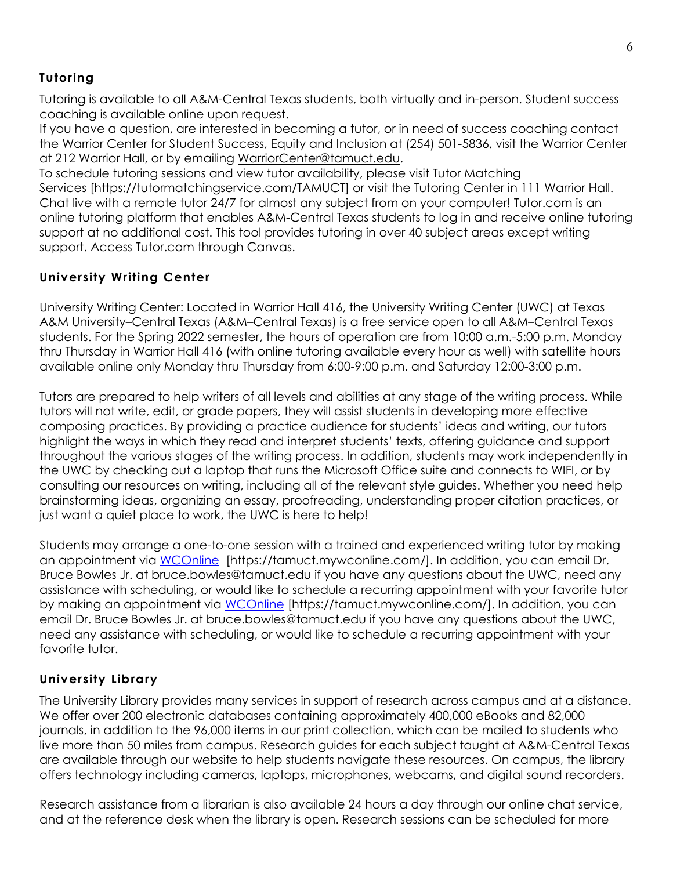# **Tutoring**

Tutoring is available to all A&M-Central Texas students, both virtually and in-person. Student success coaching is available online upon request.

If you have a question, are interested in becoming a tutor, or in need of success coaching contact the Warrior Center for Student Success, Equity and Inclusion at (254) 501-5836, visit the Warrior Center at 212 Warrior Hall, or by emailing [WarriorCenter@tamuct.edu.](mailto:WarriorCenter@tamuct.edu)

To schedule tutoring sessions and view tutor availability, please visit Tutor [Matching](https://tutormatchingservice.com/TAMUCT) [Services](https://tutormatchingservice.com/TAMUCT) [https://tutormatchingservice.com/TAMUCT] or visit the Tutoring Center in 111 Warrior Hall. Chat live with a remote tutor 24/7 for almost any subject from on your computer! Tutor.com is an online tutoring platform that enables A&M-Central Texas students to log in and receive online tutoring support at no additional cost. This tool provides tutoring in over 40 subject areas except writing support. Access Tutor.com through Canvas.

### **University Writing Center**

University Writing Center: Located in Warrior Hall 416, the University Writing Center (UWC) at Texas A&M University–Central Texas (A&M–Central Texas) is a free service open to all A&M–Central Texas students. For the Spring 2022 semester, the hours of operation are from 10:00 a.m.-5:00 p.m. Monday thru Thursday in Warrior Hall 416 (with online tutoring available every hour as well) with satellite hours available online only Monday thru Thursday from 6:00-9:00 p.m. and Saturday 12:00-3:00 p.m.

Tutors are prepared to help writers of all levels and abilities at any stage of the writing process. While tutors will not write, edit, or grade papers, they will assist students in developing more effective composing practices. By providing a practice audience for students' ideas and writing, our tutors highlight the ways in which they read and interpret students' texts, offering guidance and support throughout the various stages of the writing process. In addition, students may work independently in the UWC by checking out a laptop that runs the Microsoft Office suite and connects to WIFI, or by consulting our resources on writing, including all of the relevant style guides. Whether you need help brainstorming ideas, organizing an essay, proofreading, understanding proper citation practices, or just want a quiet place to work, the UWC is here to help!

Students may arrange a one-to-one session with a trained and experienced writing tutor by making an appointment via [WCOnline](https://tamuct.mywconline.com/) [https://tamuct.mywconline.com/]. In addition, you can email Dr. Bruce Bowles Jr. at bruce.bowles@tamuct.edu if you have any questions about the UWC, need any assistance with scheduling, or would like to schedule a recurring appointment with your favorite tutor by making an appointment via [WCOnline](https://tamuct.mywconline.com/) [https://tamuct.mywconline.com/]. In addition, you can email Dr. Bruce Bowles Jr. at bruce.bowles@tamuct.edu if you have any questions about the UWC, need any assistance with scheduling, or would like to schedule a recurring appointment with your favorite tutor.

# **University Library**

The University Library provides many services in support of research across campus and at a distance. We offer over 200 electronic databases containing approximately 400,000 eBooks and 82,000 journals, in addition to the 96,000 items in our print collection, which can be mailed to students who live more than 50 miles from campus. Research guides for each subject taught at A&M-Central Texas are available through our website to help students navigate these resources. On campus, the library offers technology including cameras, laptops, microphones, webcams, and digital sound recorders.

Research assistance from a librarian is also available 24 hours a day through our online chat service, and at the reference desk when the library is open. Research sessions can be scheduled for more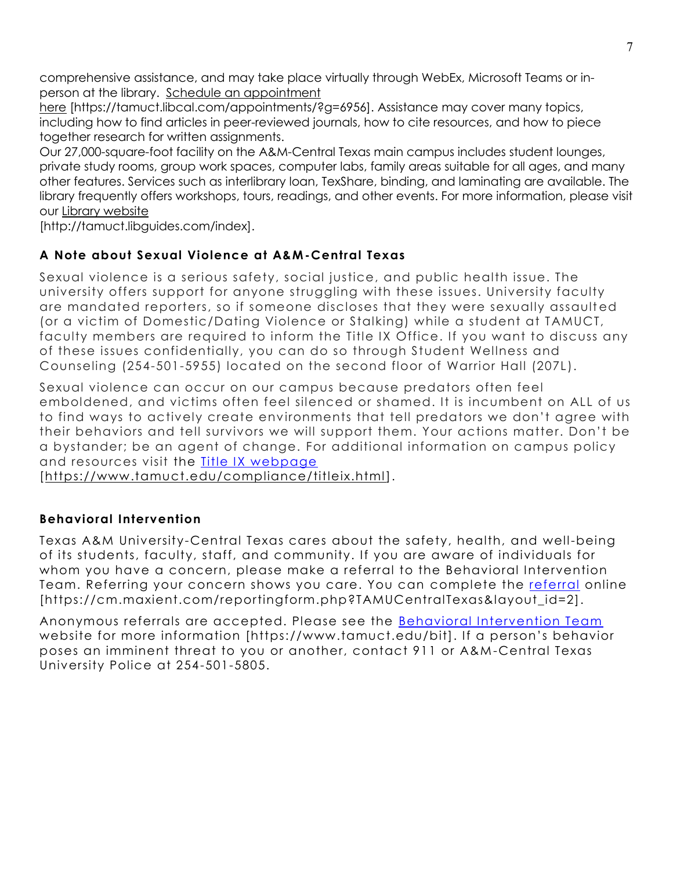comprehensive assistance, and may take place virtually through WebEx, Microsoft Teams or inperson at the library. Schedule an [appointment](https://nam04.safelinks.protection.outlook.com/?url=https%3A%2F%2Ftamuct.libcal.com%2Fappointments%2F%3Fg%3D6956&data=04%7C01%7Clisa.bunkowski%40tamuct.edu%7Cde2c07d9f5804f09518008d9ab7ba6ff%7C9eed4e3000f744849ff193ad8005acec%7C0%7C0%7C637729369835011558%7CUnknown%7CTWFpbGZsb3d8eyJWIjoiMC4wLjAwMDAiLCJQIjoiV2luMzIiLCJBTiI6Ik1haWwiLCJXVCI6Mn0%3D%7C3000&sdata=KhtjgRSAw9aq%2FoBsB6wyu8b7PSuGN5EGPypzr3Ty2No%3D&reserved=0)

[here](https://nam04.safelinks.protection.outlook.com/?url=https%3A%2F%2Ftamuct.libcal.com%2Fappointments%2F%3Fg%3D6956&data=04%7C01%7Clisa.bunkowski%40tamuct.edu%7Cde2c07d9f5804f09518008d9ab7ba6ff%7C9eed4e3000f744849ff193ad8005acec%7C0%7C0%7C637729369835011558%7CUnknown%7CTWFpbGZsb3d8eyJWIjoiMC4wLjAwMDAiLCJQIjoiV2luMzIiLCJBTiI6Ik1haWwiLCJXVCI6Mn0%3D%7C3000&sdata=KhtjgRSAw9aq%2FoBsB6wyu8b7PSuGN5EGPypzr3Ty2No%3D&reserved=0) [https://tamuct.libcal.com/appointments/?g=6956]. Assistance may cover many topics, including how to find articles in peer-reviewed journals, how to cite resources, and how to piece together research for written assignments.

Our 27,000-square-foot facility on the A&M-Central Texas main campus includes student lounges, private study rooms, group work spaces, computer labs, family areas suitable for all ages, and many other features. Services such as interlibrary loan, TexShare, binding, and laminating are available. The library frequently offers workshops, tours, readings, and other events. For more information, please visit our Library [website](https://nam04.safelinks.protection.outlook.com/?url=https%3A%2F%2Ftamuct.libguides.com%2Findex&data=04%7C01%7Clisa.bunkowski%40tamuct.edu%7C7d8489e8839a4915335f08d916f067f2%7C9eed4e3000f744849ff193ad8005acec%7C0%7C0%7C637566044056484222%7CUnknown%7CTWFpbGZsb3d8eyJWIjoiMC4wLjAwMDAiLCJQIjoiV2luMzIiLCJBTiI6Ik1haWwiLCJXVCI6Mn0%3D%7C1000&sdata=2R755V6rcIyedGrd4Os5rkgn1PvhHKU3kUV1vBKiHFo%3D&reserved=0)

[http://tamuct.libguides.com/index].

# **A Note about Sexual Violence at A&M-Central Texas**

Sexual violence is a serious safety, social justice, and public health issue. The university offers support for anyone struggling with these issues. University faculty are mandated reporters, so if someone discloses that they were sexually assault ed (or a victim of Domestic/Dating Violence or Stalking) while a student at TAMUCT, faculty members are required to inform the Title IX Office. If you want to discuss any of these issues confidentially, you can do so through Student Wellness and Counseling (254-501-5955) located on the second floor of Warrior Hall (207L).

Sexual violence can occur on our campus because predators often feel emboldened, and victims often feel silenced or shamed. It is incumbent on ALL of us to find ways to actively create environments that tell predators we don't agree with their behaviors and tell survivors we will support them. Your actions matter. Don't be a bystander; be an agent of change. For additional information on campus policy and resources visit the [Title IX webpage](https://www.tamuct.edu/compliance/titleix.html)

[\[https://www.tamuct.edu/compliance/titleix.html\]](https://www.tamuct.edu/compliance/titleix.html).

# **Behavioral Intervention**

Texas A&M University-Central Texas cares about the safety, health, and well-being of its students, faculty, staff, and community. If you are aware of individuals for whom you have a concern, please make a referral to the Behavioral Intervention Team. Referring your concern shows you care. You can complete the [referral](https://cm.maxient.com/reportingform.php?TAMUCentralTexas&layout_id=2) online [https://cm.maxient.com/reportingform.php?TAMUCentralTexas&layout\_id=2].

Anonymous referrals are accepted. Please see the [Behavioral Intervention Team](https://www.tamuct.edu/bit) website for more information [https://www.tamuct.edu/bit]. If a person's behavior poses an imminent threat to you or another, contact 911 or A&M -Central Texas University Police at 254-501-5805.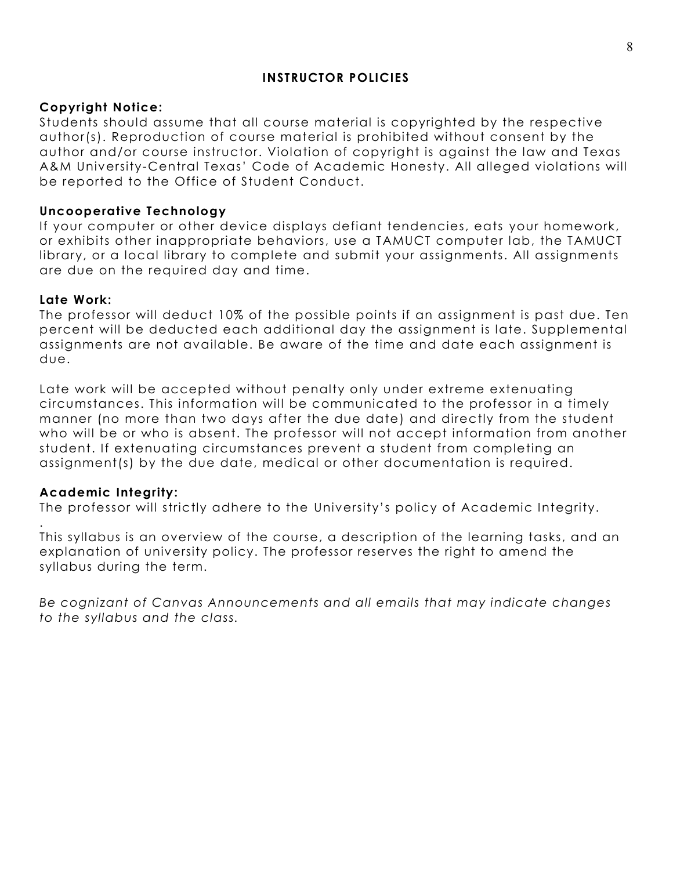### **INSTRUCTOR POLICIES**

#### **Copyright Notice:**

Students should assume that all course material is copyrighted by the respective author(s). Reproduction of course material is prohibited without consent by the author and/or course instructor. Violation of copyright is against the law and Texas A&M University-Central Texas' Code of Academic Honesty. All alleged violations will be reported to the Office of Student Conduct.

#### **Uncooperative Technology**

If your computer or other device displays defiant tendencies, eats your homework, or exhibits other inappropriate behaviors, use a TAMUCT computer lab, the TAMUCT library, or a local library to complete and submit your assignments. All assignments are due on the required day and time.

#### **Late Work:**

The professor will deduct 10% of the possible points if an assignment is past due. Ten percent will be deducted each additional day the assignment is late. Supplemental assignments are not available. Be aware of the time and date each assignment is due.

Late work will be accepted without penalty only under extreme extenuating circumstances. This information will be communicated to the professor in a timely manner (no more than two days after the due date) and directly from the student who will be or who is absent. The professor will not accept information from another student. If extenuating circumstances prevent a student from completing an assignment(s) by the due date, medical or other documentation is required.

#### **Academic Integrity:**

.

The professor will strictly adhere to the University's policy of Academic Integrity.

This syllabus is an overview of the course, a description of the learning tasks, and an explanation of university policy. The professor reserves the right to amend the syllabus during the term.

*Be cognizant of Canvas Announcements and all emails that may indicate changes to the syllabus and the class.*